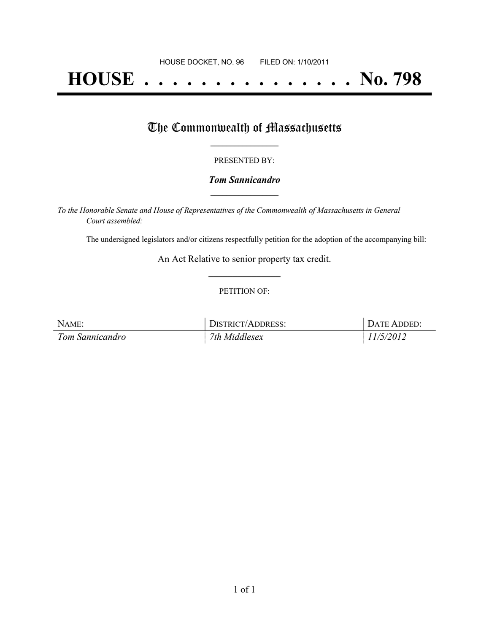# **HOUSE . . . . . . . . . . . . . . . No. 798**

## The Commonwealth of Massachusetts

#### PRESENTED BY:

#### *Tom Sannicandro* **\_\_\_\_\_\_\_\_\_\_\_\_\_\_\_\_\_**

*To the Honorable Senate and House of Representatives of the Commonwealth of Massachusetts in General Court assembled:*

The undersigned legislators and/or citizens respectfully petition for the adoption of the accompanying bill:

An Act Relative to senior property tax credit. **\_\_\_\_\_\_\_\_\_\_\_\_\_\_\_**

#### PETITION OF:

| NAME:           | DISTRICT/ADDRESS: | DATE ADDED: |
|-----------------|-------------------|-------------|
| Tom Sannicandro | 7th Middlesex     | 11/5/2012   |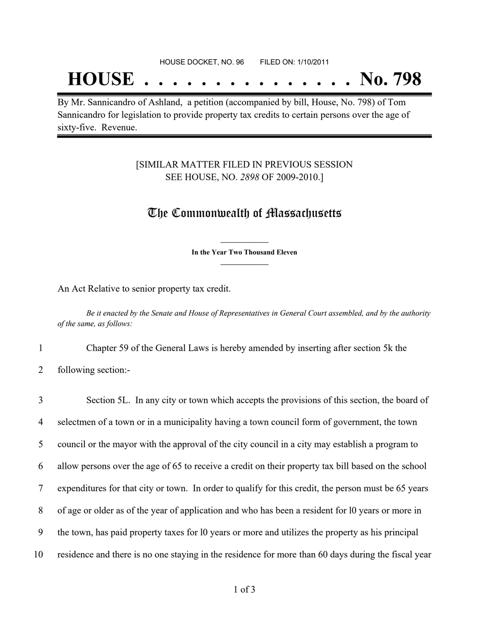## **HOUSE . . . . . . . . . . . . . . . No. 798**

By Mr. Sannicandro of Ashland, a petition (accompanied by bill, House, No. 798) of Tom Sannicandro for legislation to provide property tax credits to certain persons over the age of sixty-five. Revenue.

#### [SIMILAR MATTER FILED IN PREVIOUS SESSION SEE HOUSE, NO. *2898* OF 2009-2010.]

### The Commonwealth of Massachusetts

**\_\_\_\_\_\_\_\_\_\_\_\_\_\_\_ In the Year Two Thousand Eleven \_\_\_\_\_\_\_\_\_\_\_\_\_\_\_**

An Act Relative to senior property tax credit.

Be it enacted by the Senate and House of Representatives in General Court assembled, and by the authority *of the same, as follows:*

1 Chapter 59 of the General Laws is hereby amended by inserting after section 5k the

2 following section:-

 Section 5L. In any city or town which accepts the provisions of this section, the board of selectmen of a town or in a municipality having a town council form of government, the town council or the mayor with the approval of the city council in a city may establish a program to allow persons over the age of 65 to receive a credit on their property tax bill based on the school expenditures for that city or town. In order to qualify for this credit, the person must be 65 years of age or older as of the year of application and who has been a resident for l0 years or more in the town, has paid property taxes for l0 years or more and utilizes the property as his principal residence and there is no one staying in the residence for more than 60 days during the fiscal year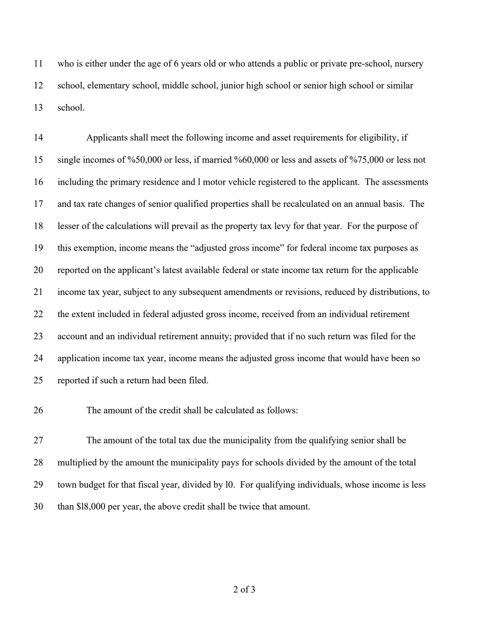who is either under the age of 6 years old or who attends a public or private pre-school, nursery school, elementary school, middle school, junior high school or senior high school or similar school.

 Applicants shall meet the following income and asset requirements for eligibility, if single incomes of %50,000 or less, if married %60,000 or less and assets of %75,000 or less not including the primary residence and l motor vehicle registered to the applicant. The assessments and tax rate changes of senior qualified properties shall be recalculated on an annual basis. The lesser of the calculations will prevail as the property tax levy for that year. For the purpose of this exemption, income means the "adjusted gross income" for federal income tax purposes as reported on the applicant's latest available federal or state income tax return for the applicable income tax year, subject to any subsequent amendments or revisions, reduced by distributions, to the extent included in federal adjusted gross income, received from an individual retirement account and an individual retirement annuity; provided that if no such return was filed for the application income tax year, income means the adjusted gross income that would have been so reported if such a return had been filed.

#### The amount of the credit shall be calculated as follows:

 The amount of the total tax due the municipality from the qualifying senior shall be multiplied by the amount the municipality pays for schools divided by the amount of the total town budget for that fiscal year, divided by l0. For qualifying individuals, whose income is less than \$l8,000 per year, the above credit shall be twice that amount.